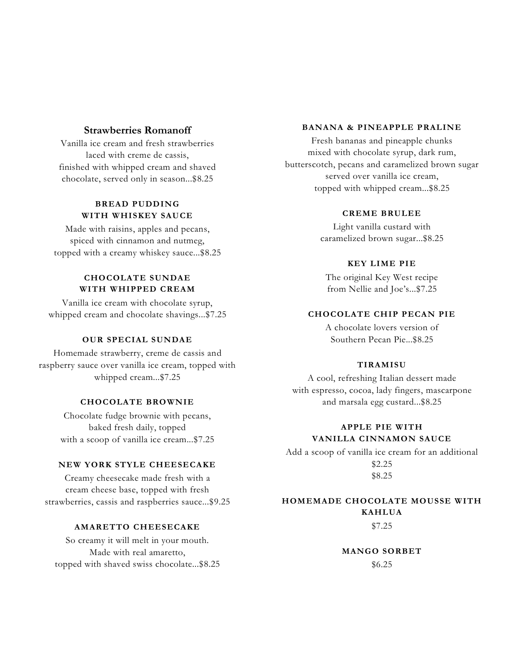#### **Strawberries Romanoff**

Vanilla ice cream and fresh strawberries laced with creme de cassis, finished with whipped cream and shaved chocolate, served only in season...\$8.25

#### **BREAD PUDDING WITH WHISKEY SAUCE**

Made with raisins, apples and pecans, spiced with cinnamon and nutmeg, topped with a creamy whiskey sauce...\$8.25

### **CHOCOLATE SUNDAE WITH WHIPPED CREAM**

Vanilla ice cream with chocolate syrup, whipped cream and chocolate shavings...\$7.25

#### **OUR SPECIAL SUNDAE**

Homemade strawberry, creme de cassis and raspberry sauce over vanilla ice cream, topped with whipped cream...\$7.25

#### **CHOCOLATE BROWNIE**

Chocolate fudge brownie with pecans, baked fresh daily, topped with a scoop of vanilla ice cream...\$7.25

#### **NEW YORK STYLE CHEESECAKE**

Creamy cheesecake made fresh with a cream cheese base, topped with fresh strawberries, cassis and raspberries sauce...\$9.25

#### **AMARETTO CHEESECAKE**

So creamy it will melt in your mouth. Made with real amaretto, topped with shaved swiss chocolate...\$8.25

#### **BANANA & PINEAPPLE PRALINE**

Fresh bananas and pineapple chunks mixed with chocolate syrup, dark rum, butterscotch, pecans and caramelized brown sugar served over vanilla ice cream, topped with whipped cream...\$8.25

#### **CREME BRULEE**

Light vanilla custard with caramelized brown sugar...\$8.25

#### **KEY LIME PIE**

The original Key West recipe from Nellie and Joe's...\$7.25

#### **CHOCOLATE CHIP PECAN PIE**

A chocolate lovers version of Southern Pecan Pie...\$8.25

#### **TIRAMISU**

A cool, refreshing Italian dessert made with espresso, cocoa, lady fingers, mascarpone and marsala egg custard...\$8.25

#### **APPLE PIE WITH VANILLA CINNAMON SAUCE**

Add a scoop of vanilla ice cream for an additional \$2.25 \$8.25

## **HOMEMADE CHOCOLATE MOUSSE WITH KAHLUA**

\$7.25

**MANGO SORBET** \$6.25